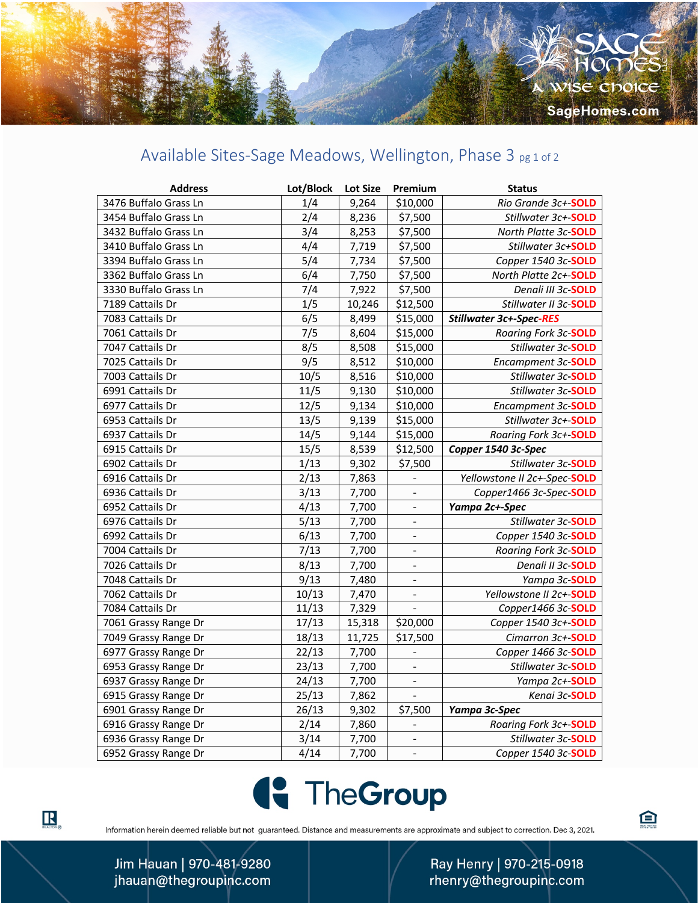## Available Sites-Sage Meadows, Wellington, Phase 3 pg 1 of 2

| <b>Address</b>        | Lot/Block | <b>Lot Size</b> | Premium                  | <b>Status</b>                  |
|-----------------------|-----------|-----------------|--------------------------|--------------------------------|
| 3476 Buffalo Grass Ln | 1/4       | 9,264           | \$10,000                 | Rio Grande 3c+-SOLD            |
| 3454 Buffalo Grass Ln | 2/4       | 8,236           | \$7,500                  | Stillwater 3c+-SOLD            |
| 3432 Buffalo Grass Ln | 3/4       | 8,253           | \$7,500                  | North Platte 3c-SOLD           |
| 3410 Buffalo Grass Ln | 4/4       | 7,719           | \$7,500                  | Stillwater 3c+SOLD             |
| 3394 Buffalo Grass Ln | 5/4       | 7,734           | \$7,500                  | Copper 1540 3c-SOLD            |
| 3362 Buffalo Grass Ln | 6/4       | 7,750           | \$7,500                  | North Platte 2c+-SOLD          |
| 3330 Buffalo Grass Ln | 7/4       | 7,922           | \$7,500                  | Denali III 3c-SOLD             |
| 7189 Cattails Dr      | 1/5       | 10,246          | \$12,500                 | Stillwater II 3c-SOLD          |
| 7083 Cattails Dr      | 6/5       | 8,499           | \$15,000                 | <b>Stillwater 3c+-Spec-RES</b> |
| 7061 Cattails Dr      | 7/5       | 8,604           | \$15,000                 | Roaring Fork 3c-SOLD           |
| 7047 Cattails Dr      | 8/5       | 8,508           | \$15,000                 | Stillwater 3c-SOLD             |
| 7025 Cattails Dr      | 9/5       | 8,512           | \$10,000                 | Encampment 3c-SOLD             |
| 7003 Cattails Dr      | 10/5      | 8,516           | \$10,000                 | Stillwater 3c-SOLD             |
| 6991 Cattails Dr      | 11/5      | 9,130           | \$10,000                 | Stillwater 3c-SOLD             |
| 6977 Cattails Dr      | 12/5      | 9,134           | \$10,000                 | Encampment 3c-SOLD             |
| 6953 Cattails Dr      | 13/5      | 9,139           | \$15,000                 | Stillwater 3c+-SOLD            |
| 6937 Cattails Dr      | 14/5      | 9,144           | \$15,000                 | Roaring Fork 3c+-SOLD          |
| 6915 Cattails Dr      | 15/5      | 8,539           | \$12,500                 | Copper 1540 3c-Spec            |
| 6902 Cattails Dr      | 1/13      | 9,302           | \$7,500                  | Stillwater 3c-SOLD             |
| 6916 Cattails Dr      | 2/13      | 7,863           |                          | Yellowstone II 2c+-Spec-SOLD   |
| 6936 Cattails Dr      | 3/13      | 7,700           | $\frac{1}{2}$            | Copper1466 3c-Spec-SOLD        |
| 6952 Cattails Dr      | 4/13      | 7,700           | $\blacksquare$           | Yampa 2c+-Spec                 |
| 6976 Cattails Dr      | 5/13      | 7,700           | $\frac{1}{2}$            | Stillwater 3c-SOLD             |
| 6992 Cattails Dr      | 6/13      | 7,700           |                          | Copper 1540 3c-SOLD            |
| 7004 Cattails Dr      | 7/13      | 7,700           | $\overline{\phantom{a}}$ | Roaring Fork 3c-SOLD           |
| 7026 Cattails Dr      | 8/13      | 7,700           | $\blacksquare$           | Denali II 3c-SOLD              |
| 7048 Cattails Dr      | 9/13      | 7,480           | $\overline{\phantom{a}}$ | Yampa 3c-SOLD                  |
| 7062 Cattails Dr      | 10/13     | 7,470           | ÷,                       | Yellowstone II 2c+-SOLD        |
| 7084 Cattails Dr      | 11/13     | 7,329           | $\blacksquare$           | Copper1466 3c-SOLD             |
| 7061 Grassy Range Dr  | 17/13     | 15,318          | \$20,000                 | Copper 1540 3c+-SOLD           |
| 7049 Grassy Range Dr  | 18/13     | 11,725          | \$17,500                 | Cimarron 3c+-SOLD              |
| 6977 Grassy Range Dr  | 22/13     | 7,700           | $\blacksquare$           | Copper 1466 3c-SOLD            |
| 6953 Grassy Range Dr  | 23/13     | 7,700           | $\blacksquare$           | Stillwater 3c-SOLD             |
| 6937 Grassy Range Dr  | 24/13     | 7,700           | $\overline{\phantom{a}}$ | Yampa 2c+-SOLD                 |
| 6915 Grassy Range Dr  | 25/13     | 7,862           |                          | Kenai 3c-SOLD                  |
| 6901 Grassy Range Dr  | 26/13     | 9,302           | \$7,500                  | Yampa 3c-Spec                  |
| 6916 Grassy Range Dr  | 2/14      | 7,860           | $\overline{a}$           | Roaring Fork 3c+-SOLD          |
| 6936 Grassy Range Dr  | 3/14      | 7,700           |                          | Stillwater 3c-SOLD             |
| 6952 Grassy Range Dr  | 4/14      | 7,700           |                          | Copper 1540 3c-SOLD            |



Information herein deemed reliable but not guaranteed. Distance and measurements are approximate and subject to correction. Dec 3, 2021.

Ray Henry | 970-215-0918 rhenry@thegroupinc.com 白

Jim Hauan | 970-481-9280 jhauan@thegroupinc.com

 $\mathbf{R}_{\texttt{ReALIOR}}$